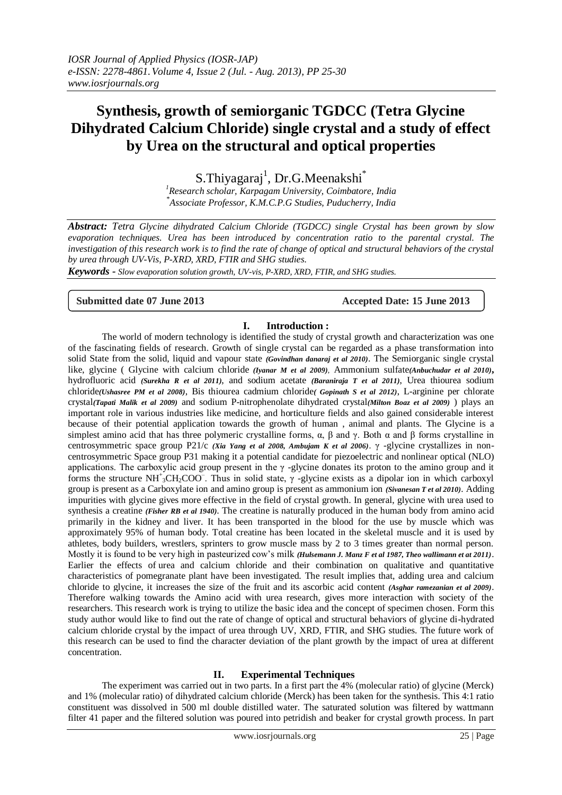# **Synthesis, growth of semiorganic TGDCC (Tetra Glycine Dihydrated Calcium Chloride) single crystal and a study of effect by Urea on the structural and optical properties**

S.Thiyagaraj<sup>1</sup>, Dr.G.Meenakshi<sup>\*</sup>

*<sup>1</sup>Research scholar, Karpagam University, Coimbatore, India \* Associate Professor, K.M.C.P.G Studies, Puducherry, India*

*Abstract: Tetra Glycine dihydrated Calcium Chloride (TGDCC) single Crystal has been grown by slow evaporation techniques. Urea has been introduced by concentration ratio to the parental crystal. The investigation of this research work is to find the rate of change of optical and structural behaviors of the crystal by urea through UV-Vis, P-XRD, XRD, FTIR and SHG studies.*

*Keywords - Slow evaporation solution growth, UV-vis, P-XRD, XRD, FTIR, and SHG studies.*

**Submitted date 07 June 2013 Accepted Date: 15 June 2013**

### **I. Introduction :**

The world of modern technology is identified the study of crystal growth and characterization was one of the fascinating fields of research. Growth of single crystal can be regarded as a phase transformation into solid State from the solid, liquid and vapour state *(Govindhan danaraj et al 2010)*. The Semiorganic single crystal like, glycine ( Glycine with calcium chloride *(Iyanar M et al 2009)*, Ammonium sulfate*(Anbuchudar et al 2010)***,** hydrofluoric acid *(Surekha R et al 2011)*, and sodium acetate *(Baraniraja T et al 2011)*, Urea thiourea sodium chloride*(Ushasree PM et al 2008)*, Bis thiourea cadmium chloride*( Gopinath S et al 2012)*, L-arginine per chlorate crystal*(Tapati Malik et al 2009)* and sodium P-nitrophenolate dihydrated crystal*(Milton Boaz et al 2009)* ) plays an important role in various industries like medicine, and horticulture fields and also gained considerable interest because of their potential application towards the growth of human , animal and plants. The Glycine is a simplest amino acid that has three polymeric crystalline forms,  $\alpha$ ,  $\beta$  and  $\gamma$ . Both  $\alpha$  and  $\beta$  forms crystalline in centrosymmetric space group P21/c *(Xia Yang et al 2008, Ambujam K et al 2006)*. γ -glycine crystallizes in noncentrosymmetric Space group P31 making it a potential candidate for piezoelectric and nonlinear optical (NLO) applications. The carboxylic acid group present in the γ -glycine donates its proton to the amino group and it forms the structure NH<sup>+</sup><sub>3</sub>CH<sub>2</sub>COO<sup>-</sup>. Thus in solid state,  $\gamma$  -glycine exists as a dipolar ion in which carboxyl group is present as a Carboxylate ion and amino group is present as ammonium ion *(Sivanesan T et al 2010)*. Adding impurities with glycine gives more effective in the field of crystal growth. In general, glycine with urea used to synthesis a creatine *(Fisher RB et al 1940)*. The creatine is naturally produced in the human body from amino acid primarily in the kidney and liver. It has been transported in the blood for the use by muscle which was approximately 95% of human body. Total creatine has been located in the skeletal muscle and it is used by athletes, body builders, wrestlers, sprinters to grow muscle mass by 2 to 3 times greater than normal person. Mostly it is found to be very high in pasteurized cow's milk *(Hulsemann J. Manz F et al 1987, Theo wallimann et at 2011)*. Earlier the effects of urea and calcium chloride and their combination on qualitative and quantitative characteristics of pomegranate plant have been investigated. The result implies that, adding urea and calcium chloride to glycine, it increases the size of the fruit and its ascorbic acid content *(Asghar ramezanian et al 2009)*. Therefore walking towards the Amino acid with urea research, gives more interaction with society of the researchers. This research work is trying to utilize the basic idea and the concept of specimen chosen. Form this study author would like to find out the rate of change of optical and structural behaviors of glycine di-hydrated calcium chloride crystal by the impact of urea through UV, XRD, FTIR, and SHG studies. The future work of this research can be used to find the character deviation of the plant growth by the impact of urea at different concentration.

### **II. Experimental Techniques**

The experiment was carried out in two parts. In a first part the 4% (molecular ratio) of glycine (Merck) and 1% (molecular ratio) of dihydrated calcium chloride (Merck) has been taken for the synthesis. This 4:1 ratio constituent was dissolved in 500 ml double distilled water. The saturated solution was filtered by wattmann filter 41 paper and the filtered solution was poured into petridish and beaker for crystal growth process. In part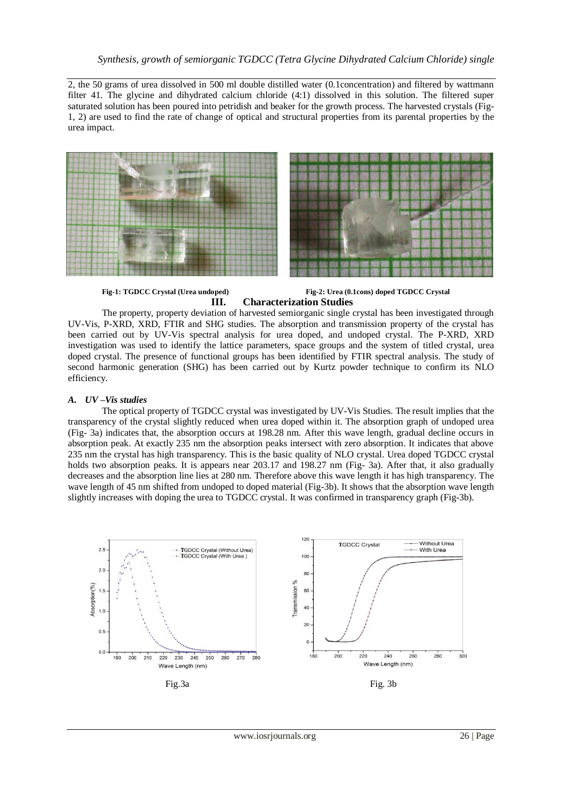2, the 50 grams of urea dissolved in 500 ml double distilled water (0.1concentration) and filtered by wattmann filter 41. The glycine and dihydrated calcium chloride (4:1) dissolved in this solution. The filtered super saturated solution has been poured into petridish and beaker for the growth process. The harvested crystals (Fig-1, 2) are used to find the rate of change of optical and structural properties from its parental properties by the urea impact.



**Fig-1: TGDCC Crystal (Urea undoped) Fig-2: Urea (0.1cons) doped TGDCC Crystal III. Characterization Studies**

The property, property deviation of harvested semiorganic single crystal has been investigated through UV-Vis, P-XRD, XRD, FTIR and SHG studies. The absorption and transmission property of the crystal has been carried out by UV-Vis spectral analysis for urea doped, and undoped crystal. The P-XRD, XRD investigation was used to identify the lattice parameters, space groups and the system of titled crystal, urea doped crystal. The presence of functional groups has been identified by FTIR spectral analysis. The study of second harmonic generation (SHG) has been carried out by Kurtz powder technique to confirm its NLO efficiency.

#### *A. UV –Vis studies*

The optical property of TGDCC crystal was investigated by UV-Vis Studies. The result implies that the transparency of the crystal slightly reduced when urea doped within it. The absorption graph of undoped urea (Fig- 3a) indicates that, the absorption occurs at 198.28 nm. After this wave length, gradual decline occurs in absorption peak. At exactly 235 nm the absorption peaks intersect with zero absorption. It indicates that above 235 nm the crystal has high transparency. This is the basic quality of NLO crystal. Urea doped TGDCC crystal holds two absorption peaks. It is appears near 203.17 and 198.27 nm (Fig- 3a). After that, it also gradually decreases and the absorption line lies at 280 nm. Therefore above this wave length it has high transparency. The wave length of 45 nm shifted from undoped to doped material (Fig-3b). It shows that the absorption wave length slightly increases with doping the urea to TGDCC crystal. It was confirmed in transparency graph (Fig-3b).

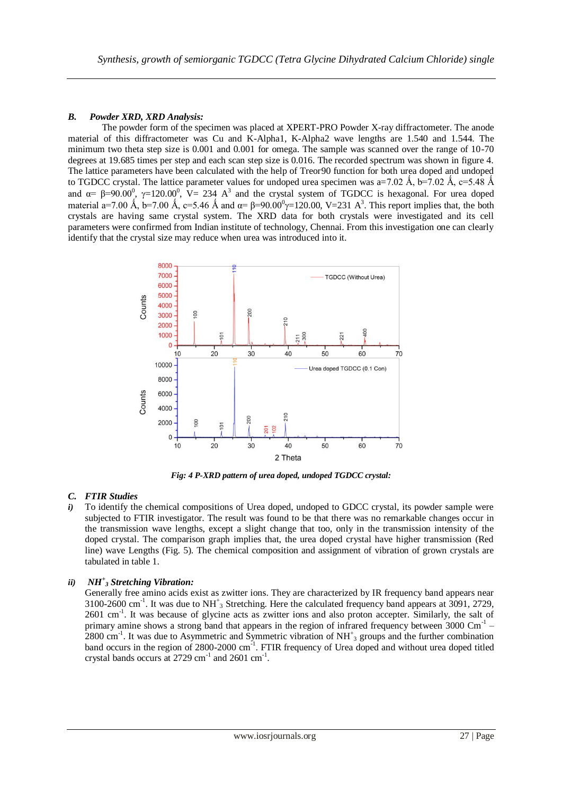### *B. Powder XRD, XRD Analysis:*

The powder form of the specimen was placed at XPERT-PRO Powder X-ray diffractometer. The anode material of this diffractometer was Cu and K-Alpha1, K-Alpha2 wave lengths are 1.540 and 1.544. The minimum two theta step size is 0.001 and 0.001 for omega. The sample was scanned over the range of 10-70 degrees at 19.685 times per step and each scan step size is 0.016. The recorded spectrum was shown in figure 4. The lattice parameters have been calculated with the help of Treor90 function for both urea doped and undoped to TGDCC crystal. The lattice parameter values for undoped urea specimen was a=7.02  $\AA$ , b=7.02  $\AA$ , c=5.48  $\AA$ and  $\alpha = \beta = 90.00^{\circ}$ ,  $\gamma = 120.00^{\circ}$ ,  $V = 234$  A<sup>3</sup> and the crystal system of TGDCC is hexagonal. For urea doped material a=7.00 Å, b=7.00 Å, c=5.46 Å and  $\alpha = \beta = 90.00^{\circ}$  $\gamma = 120.00$ , V=231 A<sup>3</sup>. This report implies that, the both crystals are having same crystal system. The XRD data for both crystals were investigated and its cell parameters were confirmed from Indian institute of technology, Chennai. From this investigation one can clearly identify that the crystal size may reduce when urea was introduced into it.



*Fig: 4 P-XRD pattern of urea doped, undoped TGDCC crystal:*

### *C. FTIR Studies*

*i*) To identify the chemical compositions of Urea doped, undoped to GDCC crystal, its powder sample were subjected to FTIR investigator. The result was found to be that there was no remarkable changes occur in the transmission wave lengths, except a slight change that too, only in the transmission intensity of the doped crystal. The comparison graph implies that, the urea doped crystal have higher transmission (Red line) wave Lengths (Fig. 5). The chemical composition and assignment of vibration of grown crystals are tabulated in table 1.

# *ii) NH<sup>+</sup> <sup>3</sup> Stretching Vibration:*

Generally free amino acids exist as zwitter ions. They are characterized by IR frequency band appears near 3100-2600 cm<sup>-1</sup>. It was due to NH<sup>+</sup><sub>3</sub> Stretching. Here the calculated frequency band appears at 3091, 2729, 2601 cm<sup>-1</sup>. It was because of glycine acts as zwitter ions and also proton accepter. Similarly, the salt of primary amine shows a strong band that appears in the region of infrared frequency between 3000 Cm<sup>-1</sup> - $2800 \text{ cm}^{-1}$ . It was due to Asymmetric and Symmetric vibration of NH<sup>+</sup><sub>3</sub> groups and the further combination band occurs in the region of 2800-2000 cm<sup>-1</sup>. FTIR frequency of Urea doped and without urea doped titled crystal bands occurs at  $2729 \text{ cm}^{-1}$  and  $2601 \text{ cm}^{-1}$ .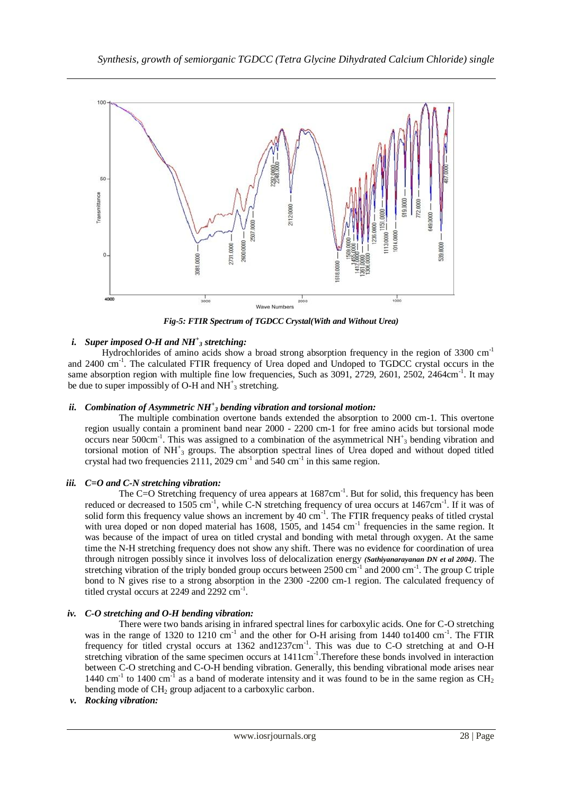

*Fig-5: FTIR Spectrum of TGDCC Crystal(With and Without Urea)*

# *i. Super imposed O-H and NH<sup>+</sup> <sup>3</sup> stretching:*

Hydrochlorides of amino acids show a broad strong absorption frequency in the region of 3300  $cm<sup>-1</sup>$ and 2400 cm<sup>-1</sup>. The calculated FTIR frequency of Urea doped and Undoped to TGDCC crystal occurs in the same absorption region with multiple fine low frequencies, Such as 3091, 2729, 2601, 2502, 2464cm<sup>-1</sup>. It may be due to super impossibly of O-H and  $NH<sup>+</sup><sub>3</sub>$  stretching.

### *ii. Combination of Asymmetric NH<sup>+</sup> <sup>3</sup> bending vibration and torsional motion:*

The multiple combination overtone bands extended the absorption to 2000 cm-1. This overtone region usually contain a prominent band near 2000 - 2200 cm-1 for free amino acids but torsional mode occurs near 500cm<sup>-1</sup>. This was assigned to a combination of the asymmetrical NH<sup>+</sup><sub>3</sub> bending vibration and torsional motion of NH<sup>+</sup><sub>3</sub> groups. The absorption spectral lines of Urea doped and without doped titled crystal had two frequencies  $2111$ ,  $2029$  cm<sup>-1</sup> and  $540$  cm<sup>-1</sup> in this same region.

# *iii. C=O and C-N stretching vibration:*

The C=O Stretching frequency of urea appears at 1687cm<sup>-1</sup>. But for solid, this frequency has been reduced or decreased to 1505 cm<sup>-1</sup>, while C-N stretching frequency of urea occurs at 1467cm<sup>-1</sup>. If it was of solid form this frequency value shows an increment by  $40 \text{ cm}^{-1}$ . The FTIR frequency peaks of titled crystal with urea doped or non doped material has 1608, 1505, and 1454 cm<sup>-1</sup> frequencies in the same region. It was because of the impact of urea on titled crystal and bonding with metal through oxygen. At the same time the N-H stretching frequency does not show any shift. There was no evidence for coordination of urea through nitrogen possibly since it involves loss of delocalization energy *(Sathiyanarayanan DN et al 2004)*. The stretching vibration of the triply bonded group occurs between  $2500 \text{ cm}^{-1}$  and  $2000 \text{ cm}^{-1}$ . The group C triple bond to N gives rise to a strong absorption in the 2300 -2200 cm-1 region. The calculated frequency of titled crystal occurs at 2249 and 2292 cm<sup>-1</sup>.

### *iv. C-O stretching and O-H bending vibration:*

There were two bands arising in infrared spectral lines for carboxylic acids. One for C-O stretching was in the range of 1320 to 1210 cm<sup>-1</sup> and the other for O-H arising from 1440 to1400 cm<sup>-1</sup>. The FTIR frequency for titled crystal occurs at 1362 and1237cm<sup>-1</sup>. This was due to C-O stretching at and O-H stretching vibration of the same specimen occurs at 1411cm<sup>-1</sup>. Therefore these bonds involved in interaction between C-O stretching and C-O-H bending vibration. Generally, this bending vibrational mode arises near 1440 cm<sup>-1</sup> to 1400 cm<sup>-1</sup> as a band of moderate intensity and it was found to be in the same region as  $CH<sub>2</sub>$ bending mode of CH<sub>2</sub> group adjacent to a carboxylic carbon.

### *v. Rocking vibration:*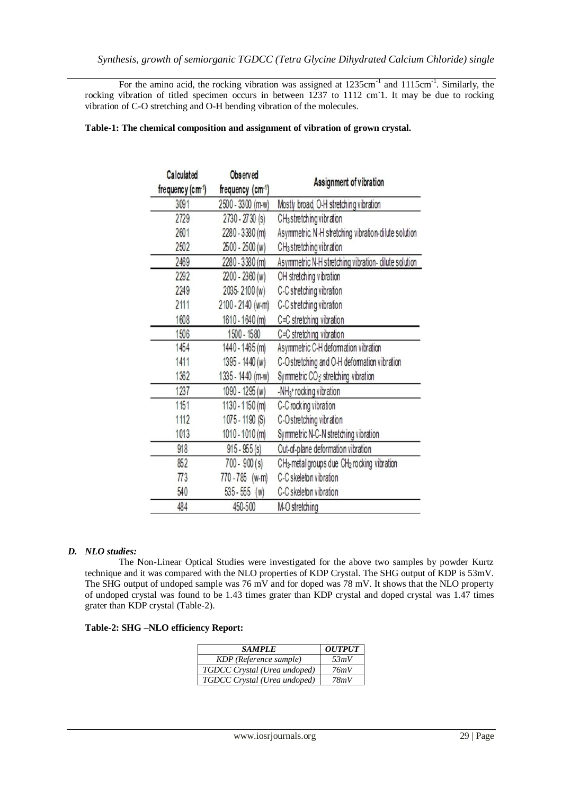For the amino acid, the rocking vibration was assigned at 1235cm<sup>-1</sup> and 1115cm<sup>-1</sup>. Similarly, the rocking vibration of titled specimen occurs in between 1237 to 1112 cm<sup>-</sup>1. It may be due to rocking vibration of C-O stretching and O-H bending vibration of the molecules.

| Calculated<br>frequency (cm <sup>1</sup> ) | Observed<br>frequency (cm-1) | Assignment of vibration                                             |  |
|--------------------------------------------|------------------------------|---------------------------------------------------------------------|--|
| 3091                                       | 2500 - 3300 (m-w)            | Mostly broad, O-H stretching vibration                              |  |
| 2729                                       | $2730 - 2730$ (s)            | CH <sub>3</sub> stretching vibration                                |  |
| 2601                                       | 2280 - 3380 (m)              | Asymmetric. N-H stretching vibration-dilute solution                |  |
| 2502                                       | 2500 - 2500 (w)              | CH <sub>3</sub> stretching vibration                                |  |
| 2469                                       | 2280 - 3380 (m)              | Asymmetric N-H stretching vibration- dilute solution                |  |
| 2292                                       | 2200 - 2360 (w)              | OH stretching vibration                                             |  |
| 2249                                       | 2035-2100 (w)                | C-C stretching vibration                                            |  |
| 2111                                       | 2100 - 2140 (w-m)            | C-C stretching vibration                                            |  |
| 1608                                       | 1610 - 1640 (m)              | C=C stretching vibration                                            |  |
| 1506                                       | 1500 - 1580                  | C=C stretching vibration                                            |  |
| 1454                                       | 1440 - 1465 (m)              | Asymmetric C-H deformation vibration                                |  |
| 1411                                       | 1395 - 1440 (w)              | C-O stretching and O-H deformation vibration                        |  |
| 1362                                       | 1335 - 1440 (m-w)            | Symmetric $CO2$ stretching vibration                                |  |
| 1237                                       | 1090 - 1295 (w)              | -NH <sub>3</sub> + rocking vibration                                |  |
| 1151                                       | 1130 - 1150 (m)              | C-C rocking vibration                                               |  |
| 1112                                       | 1075 - 1190 (S)              | C-O stretching vibration                                            |  |
| 1013                                       | 1010 - 1010 (m)              | Symmetric N-C-N stretching vibration                                |  |
| 918                                        | $915 - 955$ (s)              | Out-of-plane deformation vibration                                  |  |
| 852                                        | $700 - 900(s)$               | CH <sub>3</sub> -metal groups due CH <sub>2</sub> rocking vibration |  |
| $\overline{773}$                           | 770 - 785 (w-m)              | C-C skeleton vibration                                              |  |
| 540                                        | $535 - 555$ (w)              | C-C skeleton vibration                                              |  |
| 484                                        | 450-500                      | M-O stretching                                                      |  |

### **Table-1: The chemical composition and assignment of vibration of grown crystal.**

### *D. NLO studies:*

The Non-Linear Optical Studies were investigated for the above two samples by powder Kurtz technique and it was compared with the NLO properties of KDP Crystal. The SHG output of KDP is 53mV. The SHG output of undoped sample was 76 mV and for doped was 78 mV. It shows that the NLO property of undoped crystal was found to be 1.43 times grater than KDP crystal and doped crystal was 1.47 times grater than KDP crystal (Table-2).

|  |  |  | Table-2: SHG –NLO efficiency Report: |  |
|--|--|--|--------------------------------------|--|
|--|--|--|--------------------------------------|--|

| <b>SAMPLE</b>                | <b>OUTPUT</b> |
|------------------------------|---------------|
| KDP (Reference sample)       | 53mV          |
| TGDCC Crystal (Urea undoped) | 76mV          |
| TGDCC Crystal (Urea undoped) | 78mV          |